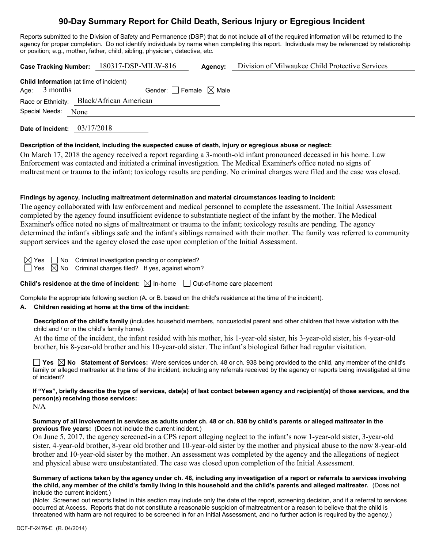# **90-Day Summary Report for Child Death, Serious Injury or Egregious Incident**

Reports submitted to the Division of Safety and Permanence (DSP) that do not include all of the required information will be returned to the agency for proper completion. Do not identify individuals by name when completing this report. Individuals may be referenced by relationship or position; e.g., mother, father, child, sibling, physician, detective, etc.

|                     |                                                                   |  | Case Tracking Number: 180317-DSP-MILW-816 | Agency: | Division of Milwaukee Child Protective Services |
|---------------------|-------------------------------------------------------------------|--|-------------------------------------------|---------|-------------------------------------------------|
|                     | <b>Child Information</b> (at time of incident)<br>Age: $3$ months |  | Gender: Female $\boxtimes$ Male           |         |                                                 |
|                     |                                                                   |  | Race or Ethnicity: Black/African American |         |                                                 |
| Special Needs: None |                                                                   |  |                                           |         |                                                 |
|                     |                                                                   |  |                                           |         |                                                 |

**Date of Incident:** 03/17/2018

### **Description of the incident, including the suspected cause of death, injury or egregious abuse or neglect:**

On March 17, 2018 the agency received a report regarding a 3-month-old infant pronounced deceased in his home. Law Enforcement was contacted and initiated a criminal investigation. The Medical Examiner's office noted no signs of maltreatment or trauma to the infant; toxicology results are pending. No criminal charges were filed and the case was closed.

### **Findings by agency, including maltreatment determination and material circumstances leading to incident:**

The agency collaborated with law enforcement and medical personnel to complete the assessment. The Initial Assessment completed by the agency found insufficient evidence to substantiate neglect of the infant by the mother. The Medical Examiner's office noted no signs of maltreatment or trauma to the infant; toxicology results are pending. The agency determined the infant's siblings safe and the infant's siblings remained with their mother. The family was referred to community support services and the agency closed the case upon completion of the Initial Assessment.

 $\Box$  No Criminal investigation pending or completed?

 $\boxtimes$  No Criminal charges filed? If yes, against whom?

**Child's residence at the time of incident:**  $\boxtimes$  In-home  $\Box$  Out-of-home care placement

Complete the appropriate following section (A. or B. based on the child's residence at the time of the incident).

# **A. Children residing at home at the time of the incident:**

**Description of the child's family** (includes household members, noncustodial parent and other children that have visitation with the child and / or in the child's family home):

At the time of the incident, the infant resided with his mother, his 1-year-old sister, his 3-year-old sister, his 4-year-old brother, his 8-year-old brother and his 10-year-old sister. The infant's biological father had regular visitation.

**Yes No Statement of Services:** Were services under ch. 48 or ch. 938 being provided to the child, any member of the child's family or alleged maltreater at the time of the incident, including any referrals received by the agency or reports being investigated at time of incident?

**If "Yes", briefly describe the type of services, date(s) of last contact between agency and recipient(s) of those services, and the person(s) receiving those services:**  $N/A$ 

#### **Summary of all involvement in services as adults under ch. 48 or ch. 938 by child's parents or alleged maltreater in the previous five years:** (Does not include the current incident.)

On June 5, 2017, the agency screened-in a CPS report alleging neglect to the infant's now 1-year-old sister, 3-year-old sister, 4-year-old brother, 8-year old brother and 10-year-old sister by the mother and physical abuse to the now 8-year-old brother and 10-year-old sister by the mother. An assessment was completed by the agency and the allegations of neglect and physical abuse were unsubstantiated. The case was closed upon completion of the Initial Assessment.

**Summary of actions taken by the agency under ch. 48, including any investigation of a report or referrals to services involving the child, any member of the child's family living in this household and the child's parents and alleged maltreater.** (Does not include the current incident.)

(Note: Screened out reports listed in this section may include only the date of the report, screening decision, and if a referral to services occurred at Access. Reports that do not constitute a reasonable suspicion of maltreatment or a reason to believe that the child is threatened with harm are not required to be screened in for an Initial Assessment, and no further action is required by the agency.)